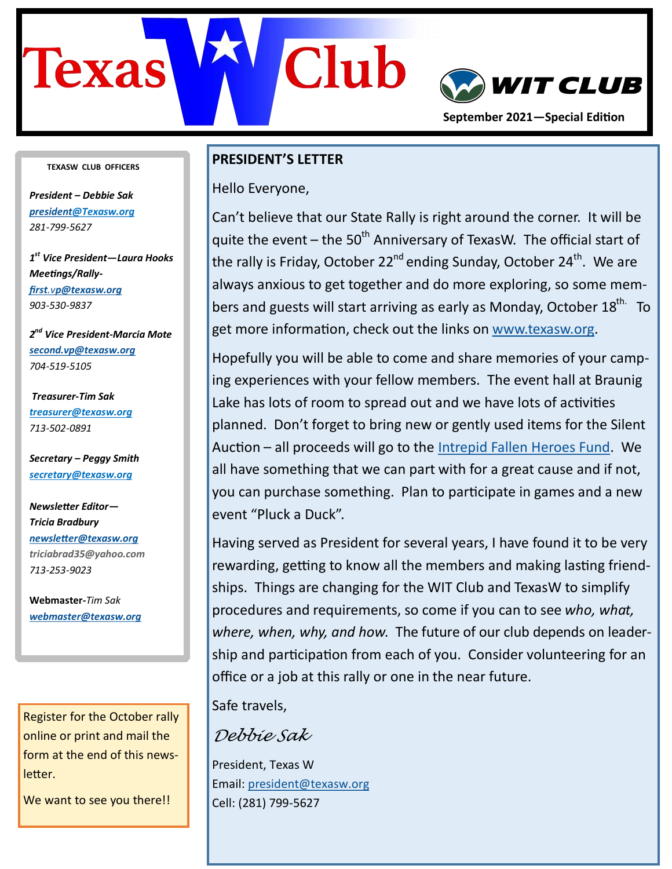

#### **TEXASW CLUB OFFICERS**

*President – Debbie Sak [president@T](mailto:president@texasw.org)exasw.org 281-799-5627*

*1 st Vice President—Laura Hooks Meetings/Rallyfirst.v[p@texasw.org](mailto:first.vp@texasw.org)  903-530-9837* 

*2 nd Vice President-Marcia Mote [second.vp@texasw.org](mailto:second.vp@texasw.org) 704-519-5105*

*Treasurer-Tim Sak [treasurer@texasw.org](mailto:treasurer@texasw.org) 713-502-0891*

*Secretary – Peggy Smith [secretary@texasw.org](mailto:secretary@texasw.org)*

*Newsletter Editor— Tricia Bradbury [newsletter@texasw.org](mailto:newsletter@texasw.org) triciabrad35@yahoo.com 713-253-9023*

**Webmaster-***Tim Sak [webmaster@texasw.org](mailto:webmaster@texasw.org)*

Register for the October rally online or print and mail the form at the end of this newsletter.

We want to see you there!!

#### **PRESIDENT'S LETTER**

Hello Everyone,

Can't believe that our State Rally is right around the corner. It will be quite the event – the 50<sup>th</sup> Anniversary of TexasW. The official start of the rally is Friday, October 22<sup>nd</sup> ending Sunday, October 24<sup>th</sup>. We are always anxious to get together and do more exploring, so some members and guests will start arriving as early as Monday, October  $18^{\text{th}}$  To get more information, check out the links on [www.texasw.org.](http://www.texasw.org)

Hopefully you will be able to come and share memories of your camping experiences with your fellow members. The event hall at Braunig Lake has lots of room to spread out and we have lots of activities planned. Don't forget to bring new or gently used items for the Silent Auction – all proceeds will go to the [Intrepid Fallen Heroes Fund.](https://www.fallenheroesfund.org/) We all have something that we can part with for a great cause and if not, you can purchase something. Plan to participate in games and a new event "Pluck a Duck".

Having served as President for several years, I have found it to be very rewarding, getting to know all the members and making lasting friendships. Things are changing for the WIT Club and TexasW to simplify procedures and requirements, so come if you can to see *who, what, where, when, why, and how*. The future of our club depends on leadership and participation from each of you. Consider volunteering for an office or a job at this rally or one in the near future.

Safe travels,

*Debbie Sak*

President, Texas W Email: [president@texasw.org](mailto:president@texasw.org) Cell: (281) 799-5627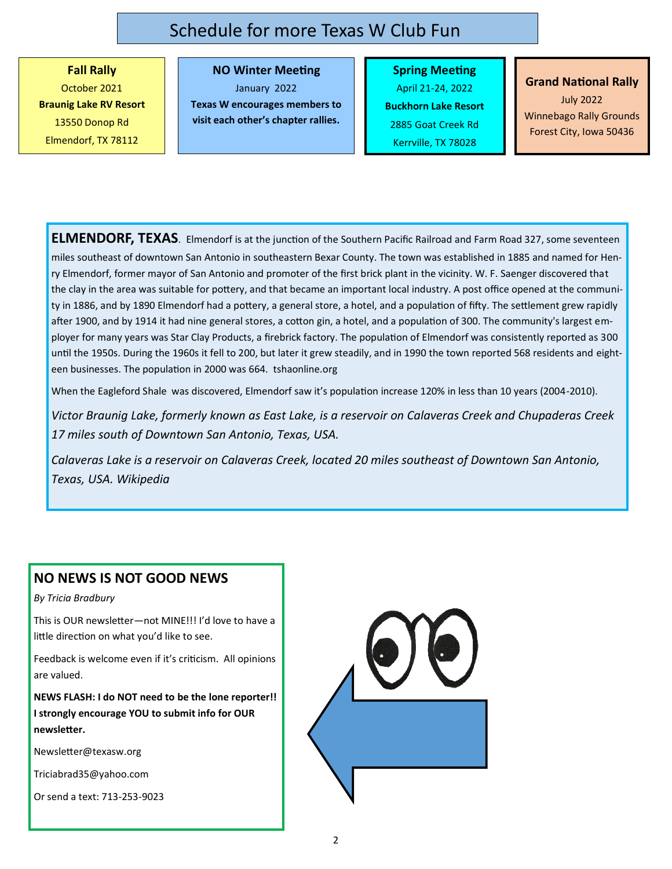### Schedule for more Texas W Club Fun

**Fall Rally** October 2021 **Braunig Lake RV Resort**  13550 Donop Rd Elmendorf, TX 78112

### **NO Winter Meeting**

January 2022

**Texas W encourages members to visit each other's chapter rallies.**

**Spring Meeting** April 21-24, 2022 **Buckhorn Lake Resort** 2885 Goat Creek Rd Kerrville, TX 78028

## **Grand National Rally**

July 2022 Winnebago Rally Grounds Forest City, Iowa 50436

**ELMENDORF, TEXAS**. Elmendorf is at the junction of the Southern Pacific Railroad and Farm Road 327, some seventeen miles southeast of downtown San Antonio in southeastern Bexar County. The town was established in 1885 and named for Henry Elmendorf, former mayor of San Antonio and promoter of the first brick plant in the vicinity. W. F. Saenger discovered that the clay in the area was suitable for pottery, and that became an important local industry. A post office opened at the community in 1886, and by 1890 Elmendorf had a pottery, a general store, a hotel, and a population of fifty. The settlement grew rapidly after 1900, and by 1914 it had nine general stores, a cotton gin, a hotel, and a population of 300. The community's largest employer for many years was Star Clay Products, a firebrick factory. The population of Elmendorf was consistently reported as 300 until the 1950s. During the 1960s it fell to 200, but later it grew steadily, and in 1990 the town reported 568 residents and eighteen businesses. The population in 2000 was 664. tshaonline.org

When the Eagleford Shale was discovered, Elmendorf saw it's population increase 120% in less than 10 years (2004-2010).

*Victor Braunig Lake, formerly known as East Lake, is a reservoir on Calaveras Creek and Chupaderas Creek 17 miles south of Downtown San Antonio, Texas, USA.*

*Calaveras Lake is a reservoir on Calaveras Creek, located 20 miles southeast of Downtown San Antonio, Texas, USA. Wikipedia*

### **NO NEWS IS NOT GOOD NEWS**

*By Tricia Bradbury*

This is OUR newsletter—not MINE!!! I'd love to have a little direction on what you'd like to see.

Feedback is welcome even if it's criticism. All opinions are valued.

**NEWS FLASH: I do NOT need to be the lone reporter!! I strongly encourage YOU to submit info for OUR newsletter.**

Newsletter@texasw.org

Triciabrad35@yahoo.com

Or send a text: 713-253-9023

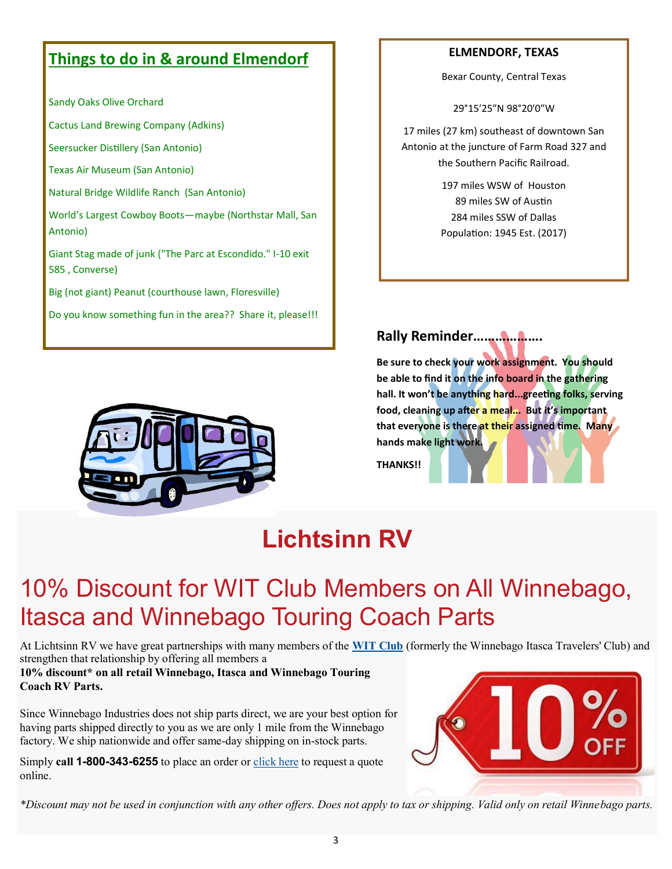### **Things to do in & around Elmendorf**

Sandy Oaks Olive Orchard

Cactus Land Brewing Company (Adkins)

Seersucker Distillery (San Antonio)

Texas Air Museum (San Antonio)

Natural Bridge Wildlife Ranch (San Antonio)

World's Largest Cowboy Boots—maybe (Northstar Mall, San Antonio)

Giant Stag made of junk ("The Parc at Escondido." I-10 exit 585 , Converse)

Big (not giant) Peanut (courthouse lawn, Floresville)

Do you know something fun in the area?? Share it, please!!!

#### **ELMENDORF, TEXAS**

Bexar County, Central Texas

29°15′25″N 98°20′0″W

17 miles (27 km) southeast of downtown San Antonio at the juncture of Farm Road 327 and the Southern Pacific Railroad.

> 197 miles WSW of Houston 89 miles SW of Austin 284 miles SSW of Dallas Population: 1945 Est. (2017)

### **Rally Reminder……………….**

**Be sure to check your work assignment. You should be able to find it on the info board in the gathering hall. It won't be anything hard...greeting folks, serving food, cleaning up after a meal... But it's important that everyone is there at their assigned time. Many hands make light work.**

**THANKS!!**



## **Lichtsinn RV**

# 10% Discount for WIT Club Members on All Winnebago, Itasca and Winnebago Touring Coach Parts

At Lichtsinn RV we have great partnerships with many members of the **[WIT Club](http://witclub.com/membership/)** (formerly the Winnebago Itasca Travelers' Club) and strengthen that relationship by offering all members a

**10% discount\* on all retail Winnebago, Itasca and Winnebago Touring Coach RV Parts.**

Since Winnebago Industries does not ship parts direct, we are your best option for having parts shipped directly to you as we are only 1 mile from the Winnebago factory. We ship nationwide and offer same-day shipping on in-stock parts.

Simply **call 1-800-343-6255** to place an order or [click here](https://www.lichtsinn.com/rv-parts/request-a-part) to request a quote online.



*\*Discount may not be used in conjunction with any other offers. Does not apply to tax or shipping. Valid only on retail Winnebago parts.*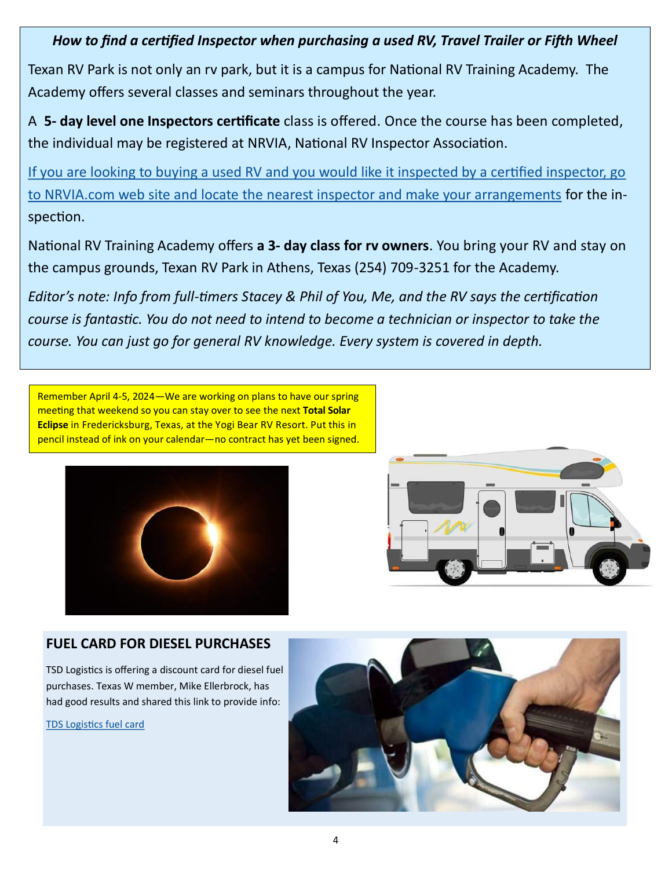*How to find a certified Inspector when purchasing a used RV, Travel Trailer or Fifth Wheel*

Texan RV Park is not only an rv park, but it is a campus for National RV Training Academy. The Academy offers several classes and seminars throughout the year.

A **5- day level one Inspectors certificate** class is offered. Once the course has been completed, the individual may be registered at NRVIA, National RV Inspector Association.

If you are looking to buying a used RV and you would like it inspected by a certified inspector, go to NRVIA.com web site and locate the nearest inspector and make your arrangements for the inspection.

National RV Training Academy offers **a 3- day class for rv owners**. You bring your RV and stay on the campus grounds, Texan RV Park in Athens, Texas (254) 709-3251 for the Academy.

*Editor's note: Info from full-timers Stacey & Phil of You, Me, and the RV says the certification course is fantastic. You do not need to intend to become a technician or inspector to take the course. You can just go for general RV knowledge. Every system is covered in depth.*

Remember April 4-5, 2024—We are working on plans to have our spring meeting that weekend so you can stay over to see the next **Total Solar Eclipse** in Fredericksburg, Texas, at the Yogi Bear RV Resort. Put this in pencil instead of ink on your calendar—no contract has yet been signed.





### **FUEL CARD FOR DIESEL PURCHASES**

TSD Logistics is offering a discount card for diesel fuel purchases. Texas W member, Mike Ellerbrock, has had good results and shared this link to provide info:

[TDS Logistics fuel card](https://www.tsdlogistics.com/services/fuel-program/?fbclid=IwAR1vs20ZQ2B52dgQlo2nmP2Vop_2Hx5HqV01a5BZWQYRjf8lQmTDqQOLP70)

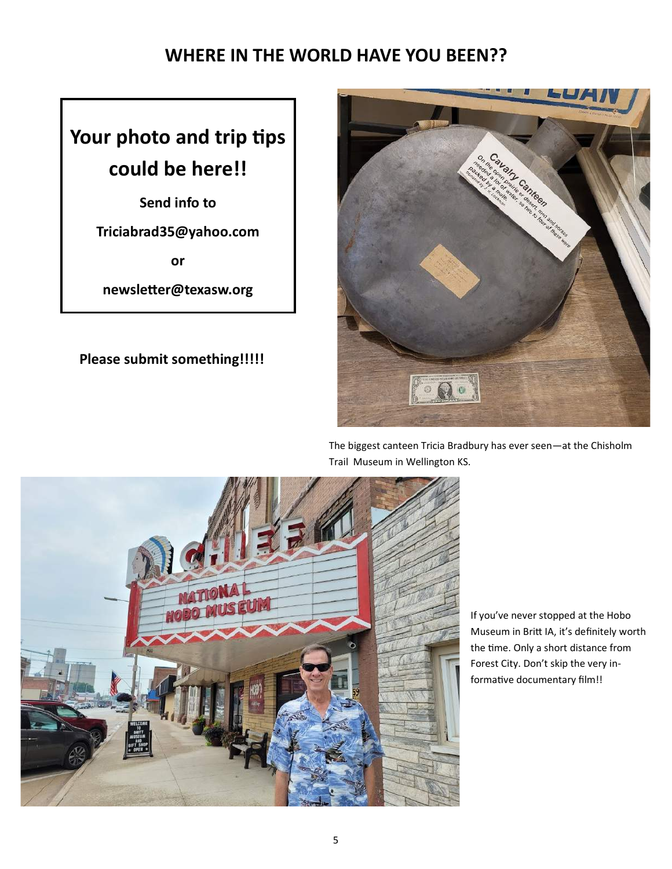## **WHERE IN THE WORLD HAVE YOU BEEN??**

# **Your photo and trip tips could be here!!**

**Send info to** 

**Triciabrad35@yahoo.com**

**or**

**newsletter@texasw.org**

### **Please submit something!!!!!**



The biggest canteen Tricia Bradbury has ever seen—at the Chisholm Trail Museum in Wellington KS.



If you've never stopped at the Hobo Museum in Britt IA, it's definitely worth the time. Only a short distance from Forest City. Don't skip the very informative documentary film!!